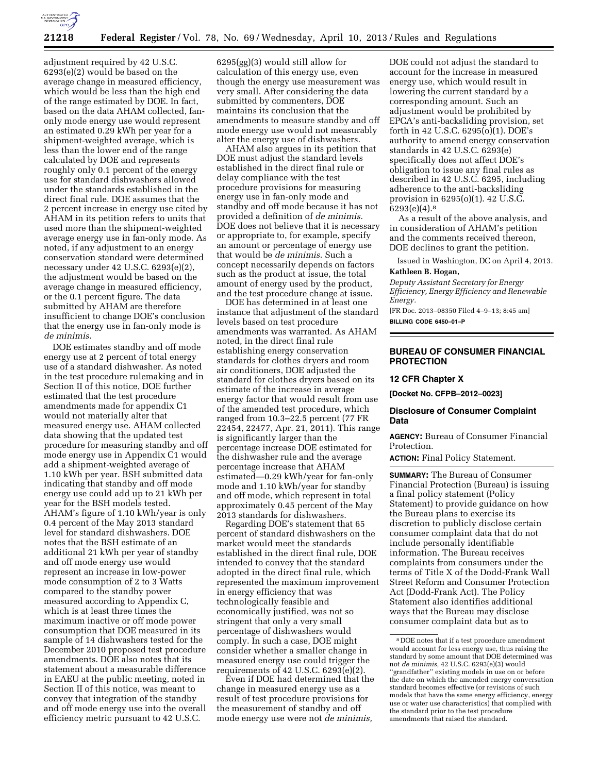

adjustment required by 42 U.S.C. 6293(e)(2) would be based on the average change in measured efficiency, which would be less than the high end of the range estimated by DOE. In fact, based on the data AHAM collected, fanonly mode energy use would represent an estimated 0.29 kWh per year for a shipment-weighted average, which is less than the lower end of the range calculated by DOE and represents roughly only 0.1 percent of the energy use for standard dishwashers allowed under the standards established in the direct final rule. DOE assumes that the 2 percent increase in energy use cited by AHAM in its petition refers to units that used more than the shipment-weighted average energy use in fan-only mode. As noted, if any adjustment to an energy conservation standard were determined necessary under 42 U.S.C. 6293(e)(2), the adjustment would be based on the average change in measured efficiency, or the 0.1 percent figure. The data submitted by AHAM are therefore insufficient to change DOE's conclusion that the energy use in fan-only mode is *de minimis*.

DOE estimates standby and off mode energy use at 2 percent of total energy use of a standard dishwasher. As noted in the test procedure rulemaking and in Section II of this notice, DOE further estimated that the test procedure amendments made for appendix C1 would not materially alter that measured energy use. AHAM collected data showing that the updated test procedure for measuring standby and off mode energy use in Appendix C1 would add a shipment-weighted average of 1.10 kWh per year. BSH submitted data indicating that standby and off mode energy use could add up to 21 kWh per year for the BSH models tested. AHAM's figure of 1.10 kWh/year is only 0.4 percent of the May 2013 standard level for standard dishwashers. DOE notes that the BSH estimate of an additional 21 kWh per year of standby and off mode energy use would represent an increase in low-power mode consumption of 2 to 3 Watts compared to the standby power measured according to Appendix C, which is at least three times the maximum inactive or off mode power consumption that DOE measured in its sample of 14 dishwashers tested for the December 2010 proposed test procedure amendments. DOE also notes that its statement about a measurable difference in EAEU at the public meeting, noted in Section II of this notice, was meant to convey that integration of the standby and off mode energy use into the overall efficiency metric pursuant to 42 U.S.C.

6295(gg)(3) would still allow for calculation of this energy use, even though the energy use measurement was very small. After considering the data submitted by commenters, DOE maintains its conclusion that the amendments to measure standby and off mode energy use would not measurably alter the energy use of dishwashers.

AHAM also argues in its petition that DOE must adjust the standard levels established in the direct final rule or delay compliance with the test procedure provisions for measuring energy use in fan-only mode and standby and off mode because it has not provided a definition of *de minimis.*  DOE does not believe that it is necessary or appropriate to, for example, specify an amount or percentage of energy use that would be *de minimis*. Such a concept necessarily depends on factors such as the product at issue, the total amount of energy used by the product, and the test procedure change at issue.

DOE has determined in at least one instance that adjustment of the standard levels based on test procedure amendments was warranted. As AHAM noted, in the direct final rule establishing energy conservation standards for clothes dryers and room air conditioners, DOE adjusted the standard for clothes dryers based on its estimate of the increase in average energy factor that would result from use of the amended test procedure, which ranged from 10.3–22.5 percent (77 FR 22454, 22477, Apr. 21, 2011). This range is significantly larger than the percentage increase DOE estimated for the dishwasher rule and the average percentage increase that AHAM estimated—0.29 kWh/year for fan-only mode and 1.10 kWh/year for standby and off mode, which represent in total approximately 0.45 percent of the May 2013 standards for dishwashers.

Regarding DOE's statement that 65 percent of standard dishwashers on the market would meet the standards established in the direct final rule, DOE intended to convey that the standard adopted in the direct final rule, which represented the maximum improvement in energy efficiency that was technologically feasible and economically justified, was not so stringent that only a very small percentage of dishwashers would comply. In such a case, DOE might consider whether a smaller change in measured energy use could trigger the requirements of 42 U.S.C.  $6293(e)(2)$ .

Even if DOE had determined that the change in measured energy use as a result of test procedure provisions for the measurement of standby and off mode energy use were not *de minimis,* 

DOE could not adjust the standard to account for the increase in measured energy use, which would result in lowering the current standard by a corresponding amount. Such an adjustment would be prohibited by EPCA's anti-backsliding provision, set forth in 42 U.S.C. 6295(o)(1). DOE's authority to amend energy conservation standards in 42 U.S.C. 6293(e) specifically does not affect DOE's obligation to issue any final rules as described in 42 U.S.C. 6295, including adherence to the anti-backsliding provision in 6295(o)(1). 42 U.S.C. 6293(e)(4).8

As a result of the above analysis, and in consideration of AHAM's petition and the comments received thereon, DOE declines to grant the petition.

Issued in Washington, DC on April 4, 2013.

# **Kathleen B. Hogan,**

*Deputy Assistant Secretary for Energy Efficiency, Energy Efficiency and Renewable Energy.* 

[FR Doc. 2013–08350 Filed 4–9–13; 8:45 am] **BILLING CODE 6450–01–P** 

# **BUREAU OF CONSUMER FINANCIAL PROTECTION**

### **12 CFR Chapter X**

**[Docket No. CFPB–2012–0023]** 

# **Disclosure of Consumer Complaint Data**

**AGENCY:** Bureau of Consumer Financial Protection.

**ACTION:** Final Policy Statement.

**SUMMARY:** The Bureau of Consumer Financial Protection (Bureau) is issuing a final policy statement (Policy Statement) to provide guidance on how the Bureau plans to exercise its discretion to publicly disclose certain consumer complaint data that do not include personally identifiable information. The Bureau receives complaints from consumers under the terms of Title X of the Dodd-Frank Wall Street Reform and Consumer Protection Act (Dodd-Frank Act). The Policy Statement also identifies additional ways that the Bureau may disclose consumer complaint data but as to

<sup>8</sup> DOE notes that if a test procedure amendment would account for less energy use, thus raising the standard by some amount that DOE determined was not *de minimis,* 42 U.S.C. 6293(e)(3) would ''grandfather'' existing models in use on or before the date on which the amended energy conversation standard becomes effective (or revisions of such models that have the same energy efficiency, energy use or water use characteristics) that complied with the standard prior to the test procedure amendments that raised the standard.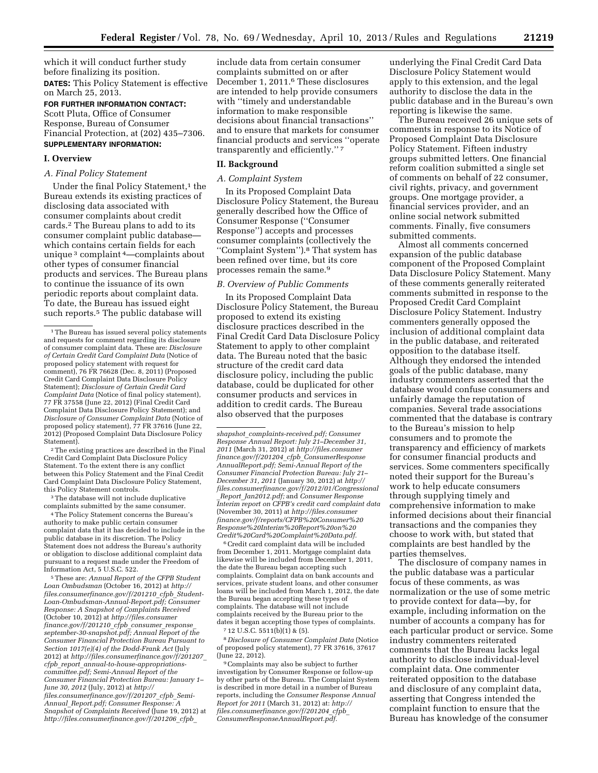which it will conduct further study before finalizing its position. **DATES:** This Policy Statement is effective on March 25, 2013.

**FOR FURTHER INFORMATION CONTACT:**  Scott Pluta, Office of Consumer Response, Bureau of Consumer Financial Protection, at (202) 435–7306. **SUPPLEMENTARY INFORMATION:** 

### **I. Overview**

# *A. Final Policy Statement*

Under the final Policy Statement,<sup>1</sup> the Bureau extends its existing practices of disclosing data associated with consumer complaints about credit cards.2 The Bureau plans to add to its consumer complaint public database which contains certain fields for each unique 3 complaint 4—complaints about other types of consumer financial products and services. The Bureau plans to continue the issuance of its own periodic reports about complaint data. To date, the Bureau has issued eight such reports.5 The public database will

2The existing practices are described in the Final Credit Card Complaint Data Disclosure Policy Statement. To the extent there is any conflict between this Policy Statement and the Final Credit Card Complaint Data Disclosure Policy Statement, this Policy Statement controls.

<sup>3</sup>The database will not include duplicative complaints submitted by the same consumer.

4The Policy Statement concerns the Bureau's authority to make public certain consumer complaint data that it has decided to include in the public database in its discretion. The Policy Statement does not address the Bureau's authority or obligation to disclose additional complaint data pursuant to a request made under the Freedom of Information Act, 5 U.S.C. 522.

5These are: *Annual Report of the CFPB Student Loan Ombudsman* (October 16, 2012) at *[http://](http://files.consumerfinance.gov/f/201210_cfpb_Student-Loan-Ombudsman-Annual-Report.pdf) [files.consumerfinance.gov/f/201210](http://files.consumerfinance.gov/f/201210_cfpb_Student-Loan-Ombudsman-Annual-Report.pdf)*\_*cfpb*\_*Student-[Loan-Ombudsman-Annual-Report.pdf;](http://files.consumerfinance.gov/f/201210_cfpb_Student-Loan-Ombudsman-Annual-Report.pdf) Consumer Response: A Snapshot of Complaints Received*  (October 10, 2012) at *[http://files.consumer](http://files.consumerfinance.gov/f/201210_cfpb_consumer_response_september-30-snapshot.pdf) [finance.gov/f/201210](http://files.consumerfinance.gov/f/201210_cfpb_consumer_response_september-30-snapshot.pdf)*\_*cfpb*\_*consumer*\_*response*\_ *[september-30-snapshot.pdf;](http://files.consumerfinance.gov/f/201210_cfpb_consumer_response_september-30-snapshot.pdf) Annual Report of the Consumer Financial Protection Bureau Pursuant to Section 1017(e)(4) of the Dodd-Frank Act* (July 2012) at *[http://files.consumerfinance.gov/f/201207](http://files.consumerfinance.gov/f/201207_cfpb_report_annual-to-house-appropriations-committee.pdf)*\_ *cfpb*\_*report*\_*[annual-to-house-appropriations](http://files.consumerfinance.gov/f/201207_cfpb_report_annual-to-house-appropriations-committee.pdf)[committee.pdf;](http://files.consumerfinance.gov/f/201207_cfpb_report_annual-to-house-appropriations-committee.pdf) Semi-Annual Report of the Consumer Financial Protection Bureau: January 1– June 30, 2012* (July, 2012) at *[http://](http://files.consumerfinance.gov/f/201207_cfpb_Semi-Annual_Report.pdf) [files.consumerfinance.gov/f/201207](http://files.consumerfinance.gov/f/201207_cfpb_Semi-Annual_Report.pdf)*\_*cfpb*\_*Semi-Annual*\_*[Report.pdf;](http://files.consumerfinance.gov/f/201207_cfpb_Semi-Annual_Report.pdf) Consumer Response: A Snapshot of Complaints Received* (June 19, 2012) at *[http://files.consumerfinance.gov/f/201206](http://files.consumerfinance.gov/f/201206_cfpb_shapshot_complaints-received.pdf)*\_*cfpb*\_

include data from certain consumer complaints submitted on or after December 1, 2011.6 These disclosures are intended to help provide consumers with ''timely and understandable information to make responsible decisions about financial transactions'' and to ensure that markets for consumer financial products and services ''operate transparently and efficiently.'' 7

# **II. Background**

### *A. Complaint System*

In its Proposed Complaint Data Disclosure Policy Statement, the Bureau generally described how the Office of Consumer Response (''Consumer Response'') accepts and processes consumer complaints (collectively the ''Complaint System'').8 That system has been refined over time, but its core processes remain the same.9

## *B. Overview of Public Comments*

In its Proposed Complaint Data Disclosure Policy Statement, the Bureau proposed to extend its existing disclosure practices described in the Final Credit Card Data Disclosure Policy Statement to apply to other complaint data. The Bureau noted that the basic structure of the credit card data disclosure policy, including the public database, could be duplicated for other consumer products and services in addition to credit cards. The Bureau also observed that the purposes

*shapshot*\_*[complaints-received.pdf;](http://files.consumerfinance.gov/f/201206_cfpb_shapshot_complaints-received.pdf) Consumer Response Annual Report: July 21–December 31, 2011* (March 31, 2012) at *[http://files.consumer](http://files.consumerfinance.gov/f/201204_cfpb_ConsumerResponseAnnualReport.pdf) [finance.gov/f/201204](http://files.consumerfinance.gov/f/201204_cfpb_ConsumerResponseAnnualReport.pdf)*\_*cfpb*\_*ConsumerResponse [AnnualReport.pdf;](http://files.consumerfinance.gov/f/201204_cfpb_ConsumerResponseAnnualReport.pdf) Semi-Annual Report of the Consumer Financial Protection Bureau: July 21– December 31, 2011* (January 30, 2012) at *[http://](http://files.consumerfinance.gov/f/2012/01/Congressional_Report_Jan2012.pdf) [files.consumerfinance.gov/f/2012/01/Congressional](http://files.consumerfinance.gov/f/2012/01/Congressional_Report_Jan2012.pdf)* \_*Report*\_*[Jan2012.pdf;](http://files.consumerfinance.gov/f/2012/01/Congressional_Report_Jan2012.pdf)* and *Consumer Response Interim report on CFPB's credit card complaint data*  (November 30, 2011) at *[http://files.consumer](http://files.consumerfinance.gov/f/reports/CFPB%20Consumer%20Response%20Interim%20Report%20on%20Credit%20Card%20Complaint%20Data.pdf) [finance.gov/f/reports/CFPB%20Consumer%20](http://files.consumerfinance.gov/f/reports/CFPB%20Consumer%20Response%20Interim%20Report%20on%20Credit%20Card%20Complaint%20Data.pdf) [Response%20Interim%20Report%20on%20](http://files.consumerfinance.gov/f/reports/CFPB%20Consumer%20Response%20Interim%20Report%20on%20Credit%20Card%20Complaint%20Data.pdf) [Credit%20Card%20Complaint%20Data.pdf.](http://files.consumerfinance.gov/f/reports/CFPB%20Consumer%20Response%20Interim%20Report%20on%20Credit%20Card%20Complaint%20Data.pdf)* 

6Credit card complaint data will be included from December 1, 2011. Mortgage complaint data likewise will be included from December 1, 2011, the date the Bureau began accepting such complaints. Complaint data on bank accounts and services, private student loans, and other consumer loans will be included from March 1, 2012, the date the Bureau began accepting these types of complaints. The database will not include complaints received by the Bureau prior to the dates it began accepting those types of complaints. 7 12 U.S.C. 5511(b)(1) & (5).

8 *Disclosure of Consumer Complaint Data* (Notice of proposed policy statement), 77 FR 37616, 37617 (June 22, 2012).

9Complaints may also be subject to further investigation by Consumer Response or follow-up by other parts of the Bureau. The Complaint System is described in more detail in a number of Bureau reports, including the *Consumer Response Annual Report for 2011* (March 31, 2012) at: *[http://](http://files.consumerfinance.gov/f/201204_cfpb_ConsumerResponseAnnualReport.pdf) [files.consumerfinance.gov/f/201204](http://files.consumerfinance.gov/f/201204_cfpb_ConsumerResponseAnnualReport.pdf)*\_*cfpb*\_ *[ConsumerResponseAnnualReport.pdf.](http://files.consumerfinance.gov/f/201204_cfpb_ConsumerResponseAnnualReport.pdf)* 

underlying the Final Credit Card Data Disclosure Policy Statement would apply to this extension, and the legal authority to disclose the data in the public database and in the Bureau's own reporting is likewise the same.

The Bureau received 26 unique sets of comments in response to its Notice of Proposed Complaint Data Disclosure Policy Statement. Fifteen industry groups submitted letters. One financial reform coalition submitted a single set of comments on behalf of 22 consumer, civil rights, privacy, and government groups. One mortgage provider, a financial services provider, and an online social network submitted comments. Finally, five consumers submitted comments.

Almost all comments concerned expansion of the public database component of the Proposed Complaint Data Disclosure Policy Statement. Many of these comments generally reiterated comments submitted in response to the Proposed Credit Card Complaint Disclosure Policy Statement. Industry commenters generally opposed the inclusion of additional complaint data in the public database, and reiterated opposition to the database itself. Although they endorsed the intended goals of the public database, many industry commenters asserted that the database would confuse consumers and unfairly damage the reputation of companies. Several trade associations commented that the database is contrary to the Bureau's mission to help consumers and to promote the transparency and efficiency of markets for consumer financial products and services. Some commenters specifically noted their support for the Bureau's work to help educate consumers through supplying timely and comprehensive information to make informed decisions about their financial transactions and the companies they choose to work with, but stated that complaints are best handled by the parties themselves.

The disclosure of company names in the public database was a particular focus of these comments, as was normalization or the use of some metric to provide context for data—by, for example, including information on the number of accounts a company has for each particular product or service. Some industry commenters reiterated comments that the Bureau lacks legal authority to disclose individual-level complaint data. One commenter reiterated opposition to the database and disclosure of any complaint data, asserting that Congress intended the complaint function to ensure that the Bureau has knowledge of the consumer

<sup>&</sup>lt;sup>1</sup>The Bureau has issued several policy statements and requests for comment regarding its disclosure of consumer complaint data. These are: *Disclosure of Certain Credit Card Complaint Data* (Notice of proposed policy statement with request for comment), 76 FR 76628 (Dec. 8, 2011) (Proposed Credit Card Complaint Data Disclosure Policy Statement); *Disclosure of Certain Credit Card Complaint Data* (Notice of final policy statement), 77 FR 37558 (June 22, 2012) (Final Credit Card Complaint Data Disclosure Policy Statement); and *Disclosure of Consumer Complaint Data* (Notice of proposed policy statement), 77 FR 37616 (June 22, 2012) (Proposed Complaint Data Disclosure Policy Statement).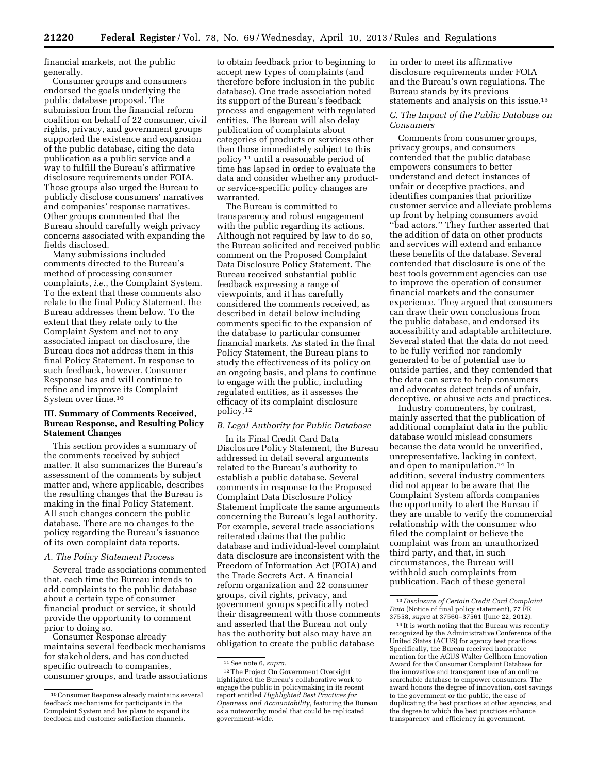financial markets, not the public generally.

Consumer groups and consumers endorsed the goals underlying the public database proposal. The submission from the financial reform coalition on behalf of 22 consumer, civil rights, privacy, and government groups supported the existence and expansion of the public database, citing the data publication as a public service and a way to fulfill the Bureau's affirmative disclosure requirements under FOIA. Those groups also urged the Bureau to publicly disclose consumers' narratives and companies' response narratives. Other groups commented that the Bureau should carefully weigh privacy concerns associated with expanding the fields disclosed.

Many submissions included comments directed to the Bureau's method of processing consumer complaints, *i.e.,* the Complaint System. To the extent that these comments also relate to the final Policy Statement, the Bureau addresses them below. To the extent that they relate only to the Complaint System and not to any associated impact on disclosure, the Bureau does not address them in this final Policy Statement. In response to such feedback, however, Consumer Response has and will continue to refine and improve its Complaint System over time.10

# **III. Summary of Comments Received, Bureau Response, and Resulting Policy Statement Changes**

This section provides a summary of the comments received by subject matter. It also summarizes the Bureau's assessment of the comments by subject matter and, where applicable, describes the resulting changes that the Bureau is making in the final Policy Statement. All such changes concern the public database. There are no changes to the policy regarding the Bureau's issuance of its own complaint data reports.

# *A. The Policy Statement Process*

Several trade associations commented that, each time the Bureau intends to add complaints to the public database about a certain type of consumer financial product or service, it should provide the opportunity to comment prior to doing so.

Consumer Response already maintains several feedback mechanisms for stakeholders, and has conducted specific outreach to companies, consumer groups, and trade associations

to obtain feedback prior to beginning to accept new types of complaints (and therefore before inclusion in the public database). One trade association noted its support of the Bureau's feedback process and engagement with regulated entities. The Bureau will also delay publication of complaints about categories of products or services other than those immediately subject to this policy 11 until a reasonable period of time has lapsed in order to evaluate the data and consider whether any productor service-specific policy changes are warranted.

The Bureau is committed to transparency and robust engagement with the public regarding its actions. Although not required by law to do so, the Bureau solicited and received public comment on the Proposed Complaint Data Disclosure Policy Statement. The Bureau received substantial public feedback expressing a range of viewpoints, and it has carefully considered the comments received, as described in detail below including comments specific to the expansion of the database to particular consumer financial markets. As stated in the final Policy Statement, the Bureau plans to study the effectiveness of its policy on an ongoing basis, and plans to continue to engage with the public, including regulated entities, as it assesses the efficacy of its complaint disclosure policy.12

# *B. Legal Authority for Public Database*

In its Final Credit Card Data Disclosure Policy Statement, the Bureau addressed in detail several arguments related to the Bureau's authority to establish a public database. Several comments in response to the Proposed Complaint Data Disclosure Policy Statement implicate the same arguments concerning the Bureau's legal authority. For example, several trade associations reiterated claims that the public database and individual-level complaint data disclosure are inconsistent with the Freedom of Information Act (FOIA) and the Trade Secrets Act. A financial reform organization and 22 consumer groups, civil rights, privacy, and government groups specifically noted their disagreement with those comments and asserted that the Bureau not only has the authority but also may have an obligation to create the public database

in order to meet its affirmative disclosure requirements under FOIA and the Bureau's own regulations. The Bureau stands by its previous statements and analysis on this issue.13

## *C. The Impact of the Public Database on Consumers*

Comments from consumer groups, privacy groups, and consumers contended that the public database empowers consumers to better understand and detect instances of unfair or deceptive practices, and identifies companies that prioritize customer service and alleviate problems up front by helping consumers avoid ''bad actors.'' They further asserted that the addition of data on other products and services will extend and enhance these benefits of the database. Several contended that disclosure is one of the best tools government agencies can use to improve the operation of consumer financial markets and the consumer experience. They argued that consumers can draw their own conclusions from the public database, and endorsed its accessibility and adaptable architecture. Several stated that the data do not need to be fully verified nor randomly generated to be of potential use to outside parties, and they contended that the data can serve to help consumers and advocates detect trends of unfair, deceptive, or abusive acts and practices.

Industry commenters, by contrast, mainly asserted that the publication of additional complaint data in the public database would mislead consumers because the data would be unverified, unrepresentative, lacking in context, and open to manipulation.14 In addition, several industry commenters did not appear to be aware that the Complaint System affords companies the opportunity to alert the Bureau if they are unable to verify the commercial relationship with the consumer who filed the complaint or believe the complaint was from an unauthorized third party, and that, in such circumstances, the Bureau will withhold such complaints from publication. Each of these general

<sup>10</sup>Consumer Response already maintains several feedback mechanisms for participants in the Complaint System and has plans to expand its feedback and customer satisfaction channels.

<sup>11</sup>See note 6, *supra.* 

<sup>12</sup>The Project On Government Oversight highlighted the Bureau's collaborative work to engage the public in policymaking in its recent report entitled *Highlighted Best Practices for Openness and Accountability,* featuring the Bureau as a noteworthy model that could be replicated government-wide.

<sup>13</sup> *Disclosure of Certain Credit Card Complaint Data* (Notice of final policy statement), 77 FR 37558, *supra* at 37560–37561 (June 22, 2012).

<sup>14</sup> It is worth noting that the Bureau was recently recognized by the Administrative Conference of the United States (ACUS) for agency best practices. Specifically, the Bureau received honorable mention for the ACUS Walter Gellhorn Innovation Award for the Consumer Complaint Database for the innovative and transparent use of an online searchable database to empower consumers. The award honors the degree of innovation, cost savings to the government or the public, the ease of duplicating the best practices at other agencies, and the degree to which the best practices enhance transparency and efficiency in government.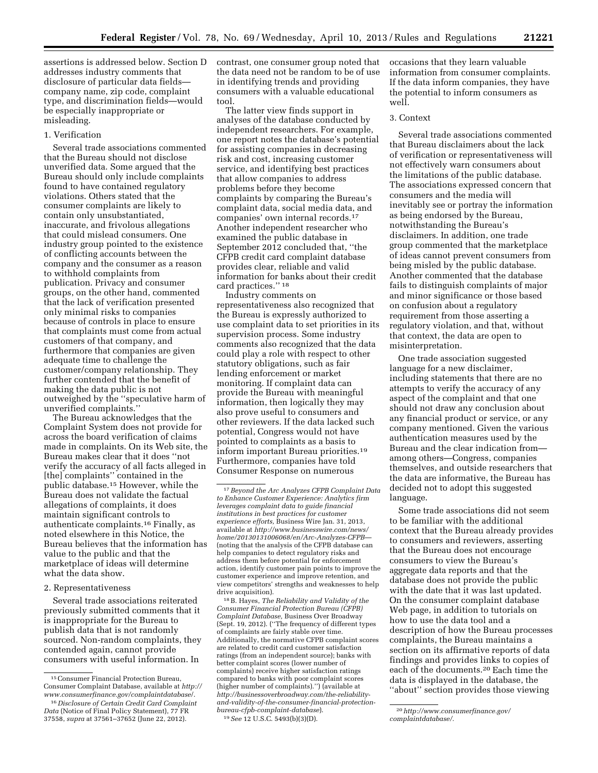assertions is addressed below. Section D addresses industry comments that disclosure of particular data fields company name, zip code, complaint type, and discrimination fields—would be especially inappropriate or misleading.

# 1. Verification

Several trade associations commented that the Bureau should not disclose unverified data. Some argued that the Bureau should only include complaints found to have contained regulatory violations. Others stated that the consumer complaints are likely to contain only unsubstantiated, inaccurate, and frivolous allegations that could mislead consumers. One industry group pointed to the existence of conflicting accounts between the company and the consumer as a reason to withhold complaints from publication. Privacy and consumer groups, on the other hand, commented that the lack of verification presented only minimal risks to companies because of controls in place to ensure that complaints must come from actual customers of that company, and furthermore that companies are given adequate time to challenge the customer/company relationship. They further contended that the benefit of making the data public is not outweighed by the ''speculative harm of unverified complaints.''

The Bureau acknowledges that the Complaint System does not provide for across the board verification of claims made in complaints. On its Web site, the Bureau makes clear that it does ''not verify the accuracy of all facts alleged in [the] complaints'' contained in the public database.15 However, while the Bureau does not validate the factual allegations of complaints, it does maintain significant controls to authenticate complaints.16 Finally, as noted elsewhere in this Notice, the Bureau believes that the information has value to the public and that the marketplace of ideas will determine what the data show.

#### 2. Representativeness

Several trade associations reiterated previously submitted comments that it is inappropriate for the Bureau to publish data that is not randomly sourced. Non-random complaints, they contended again, cannot provide consumers with useful information. In

contrast, one consumer group noted that the data need not be random to be of use in identifying trends and providing consumers with a valuable educational tool.

The latter view finds support in analyses of the database conducted by independent researchers. For example, one report notes the database's potential for assisting companies in decreasing risk and cost, increasing customer service, and identifying best practices that allow companies to address problems before they become complaints by comparing the Bureau's complaint data, social media data, and companies' own internal records.17 Another independent researcher who examined the public database in September 2012 concluded that, ''the CFPB credit card complaint database provides clear, reliable and valid information for banks about their credit card practices.'' 18

Industry comments on representativeness also recognized that the Bureau is expressly authorized to use complaint data to set priorities in its supervision process. Some industry comments also recognized that the data could play a role with respect to other statutory obligations, such as fair lending enforcement or market monitoring. If complaint data can provide the Bureau with meaningful information, then logically they may also prove useful to consumers and other reviewers. If the data lacked such potential, Congress would not have pointed to complaints as a basis to inform important Bureau priorities.19 Furthermore, companies have told Consumer Response on numerous

18B. Hayes, *The Reliability and Validity of the Consumer Financial Protection Bureau (CFPB) Complaint Database,* Business Over Broadway (Sept. 19, 2012). (''The frequency of different types of complaints are fairly stable over time. Additionally, the normative CFPB complaint scores are related to credit card customer satisfaction ratings (from an independent source); banks with better complaint scores (lower number of complaints) receive higher satisfaction ratings compared to banks with poor complaint scores (higher number of complaints).'') (available at *http://businessoverbroadway.com/the-reliability[and-validity-of-the-consumer-financial-protection](http://businessoverbroadway.com/the-reliability-and-validity-of-the-consumer-financial-protection-bureau-cfpb-complaint-database)bureau-cfpb-complaint-database*). 19*See* 12 U.S.C. 5493(b)(3)(D).

occasions that they learn valuable information from consumer complaints. If the data inform companies, they have the potential to inform consumers as well.

#### 3. Context

Several trade associations commented that Bureau disclaimers about the lack of verification or representativeness will not effectively warn consumers about the limitations of the public database. The associations expressed concern that consumers and the media will inevitably see or portray the information as being endorsed by the Bureau, notwithstanding the Bureau's disclaimers. In addition, one trade group commented that the marketplace of ideas cannot prevent consumers from being misled by the public database. Another commented that the database fails to distinguish complaints of major and minor significance or those based on confusion about a regulatory requirement from those asserting a regulatory violation, and that, without that context, the data are open to misinterpretation.

One trade association suggested language for a new disclaimer, including statements that there are no attempts to verify the accuracy of any aspect of the complaint and that one should not draw any conclusion about any financial product or service, or any company mentioned. Given the various authentication measures used by the Bureau and the clear indication from among others—Congress, companies themselves, and outside researchers that the data are informative, the Bureau has decided not to adopt this suggested language.

Some trade associations did not seem to be familiar with the additional context that the Bureau already provides to consumers and reviewers, asserting that the Bureau does not encourage consumers to view the Bureau's aggregate data reports and that the database does not provide the public with the date that it was last updated. On the consumer complaint database Web page, in addition to tutorials on how to use the data tool and a description of how the Bureau processes complaints, the Bureau maintains a section on its affirmative reports of data findings and provides links to copies of each of the documents.20 Each time the data is displayed in the database, the ''about'' section provides those viewing

<sup>15</sup>Consumer Financial Protection Bureau, Consumer Complaint Database, available at *[http://](http://www.consumerfinance.gov/complaintdatabase/)  [www.consumerfinance.gov/complaintdatabase](http://www.consumerfinance.gov/complaintdatabase/)*/.

<sup>16</sup> *Disclosure of Certain Credit Card Complaint Data* (Notice of Final Policy Statement), 77 FR 37558, *supra* at 37561–37652 (June 22, 2012).

<sup>17</sup>*Beyond the Arc Analyzes CFPB Complaint Data to Enhance Customer Experience: Analytics firm leverages complaint data to guide financial institutions in best practices for customer experience efforts,* Business Wire Jan. 31, 2013, available at *[http://www.businesswire.com/news/](http://www.businesswire.com/news/home/20130131006068/en/Arc-Analyzes-CFPB) [home/20130131006068/en/Arc-Analyzes-CFPB](http://www.businesswire.com/news/home/20130131006068/en/Arc-Analyzes-CFPB)*— (noting that the analysis of the CFPB database can help companies to detect regulatory risks and address them before potential for enforcement action, identify customer pain points to improve the customer experience and improve retention, and view competitors' strengths and weaknesses to help drive acquisition).

<sup>20</sup>*[http://www.consumerfinance.gov/](http://www.consumerfinance.gov/complaintdatabase/)  [complaintdatabase/.](http://www.consumerfinance.gov/complaintdatabase/)*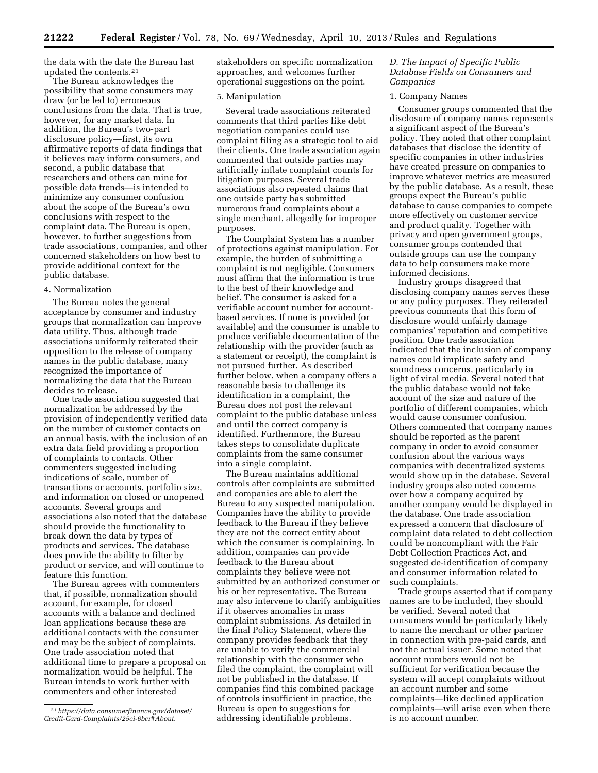the data with the date the Bureau last updated the contents.21

The Bureau acknowledges the possibility that some consumers may draw (or be led to) erroneous conclusions from the data. That is true, however, for any market data. In addition, the Bureau's two-part disclosure policy—first, its own affirmative reports of data findings that it believes may inform consumers, and second, a public database that researchers and others can mine for possible data trends—is intended to minimize any consumer confusion about the scope of the Bureau's own conclusions with respect to the complaint data. The Bureau is open, however, to further suggestions from trade associations, companies, and other concerned stakeholders on how best to provide additional context for the public database.

### 4. Normalization

The Bureau notes the general acceptance by consumer and industry groups that normalization can improve data utility. Thus, although trade associations uniformly reiterated their opposition to the release of company names in the public database, many recognized the importance of normalizing the data that the Bureau decides to release.

One trade association suggested that normalization be addressed by the provision of independently verified data on the number of customer contacts on an annual basis, with the inclusion of an extra data field providing a proportion of complaints to contacts. Other commenters suggested including indications of scale, number of transactions or accounts, portfolio size, and information on closed or unopened accounts. Several groups and associations also noted that the database should provide the functionality to break down the data by types of products and services. The database does provide the ability to filter by product or service, and will continue to feature this function.

The Bureau agrees with commenters that, if possible, normalization should account, for example, for closed accounts with a balance and declined loan applications because these are additional contacts with the consumer and may be the subject of complaints. One trade association noted that additional time to prepare a proposal on normalization would be helpful. The Bureau intends to work further with commenters and other interested

stakeholders on specific normalization approaches, and welcomes further operational suggestions on the point.

#### 5. Manipulation

Several trade associations reiterated comments that third parties like debt negotiation companies could use complaint filing as a strategic tool to aid their clients. One trade association again commented that outside parties may artificially inflate complaint counts for litigation purposes. Several trade associations also repeated claims that one outside party has submitted numerous fraud complaints about a single merchant, allegedly for improper purposes.

The Complaint System has a number of protections against manipulation. For example, the burden of submitting a complaint is not negligible. Consumers must affirm that the information is true to the best of their knowledge and belief. The consumer is asked for a verifiable account number for accountbased services. If none is provided (or available) and the consumer is unable to produce verifiable documentation of the relationship with the provider (such as a statement or receipt), the complaint is not pursued further. As described further below, when a company offers a reasonable basis to challenge its identification in a complaint, the Bureau does not post the relevant complaint to the public database unless and until the correct company is identified. Furthermore, the Bureau takes steps to consolidate duplicate complaints from the same consumer into a single complaint.

The Bureau maintains additional controls after complaints are submitted and companies are able to alert the Bureau to any suspected manipulation. Companies have the ability to provide feedback to the Bureau if they believe they are not the correct entity about which the consumer is complaining. In addition, companies can provide feedback to the Bureau about complaints they believe were not submitted by an authorized consumer or his or her representative. The Bureau may also intervene to clarify ambiguities if it observes anomalies in mass complaint submissions. As detailed in the final Policy Statement, where the company provides feedback that they are unable to verify the commercial relationship with the consumer who filed the complaint, the complaint will not be published in the database. If companies find this combined package of controls insufficient in practice, the Bureau is open to suggestions for addressing identifiable problems.

# *D. The Impact of Specific Public Database Fields on Consumers and Companies*

### 1. Company Names

Consumer groups commented that the disclosure of company names represents a significant aspect of the Bureau's policy. They noted that other complaint databases that disclose the identity of specific companies in other industries have created pressure on companies to improve whatever metrics are measured by the public database. As a result, these groups expect the Bureau's public database to cause companies to compete more effectively on customer service and product quality. Together with privacy and open government groups, consumer groups contended that outside groups can use the company data to help consumers make more informed decisions.

Industry groups disagreed that disclosing company names serves these or any policy purposes. They reiterated previous comments that this form of disclosure would unfairly damage companies' reputation and competitive position. One trade association indicated that the inclusion of company names could implicate safety and soundness concerns, particularly in light of viral media. Several noted that the public database would not take account of the size and nature of the portfolio of different companies, which would cause consumer confusion. Others commented that company names should be reported as the parent company in order to avoid consumer confusion about the various ways companies with decentralized systems would show up in the database. Several industry groups also noted concerns over how a company acquired by another company would be displayed in the database. One trade association expressed a concern that disclosure of complaint data related to debt collection could be noncompliant with the Fair Debt Collection Practices Act, and suggested de-identification of company and consumer information related to such complaints.

Trade groups asserted that if company names are to be included, they should be verified. Several noted that consumers would be particularly likely to name the merchant or other partner in connection with pre-paid cards, and not the actual issuer. Some noted that account numbers would not be sufficient for verification because the system will accept complaints without an account number and some complaints—like declined application complaints—will arise even when there is no account number.

<sup>21</sup>*[https://data.consumerfinance.gov/dataset/](https://data.consumerfinance.gov/dataset/Credit-Card-Complaints/25ei-6bcr#About) [Credit-Card-Complaints/25ei-6bcr#About](https://data.consumerfinance.gov/dataset/Credit-Card-Complaints/25ei-6bcr#About)*.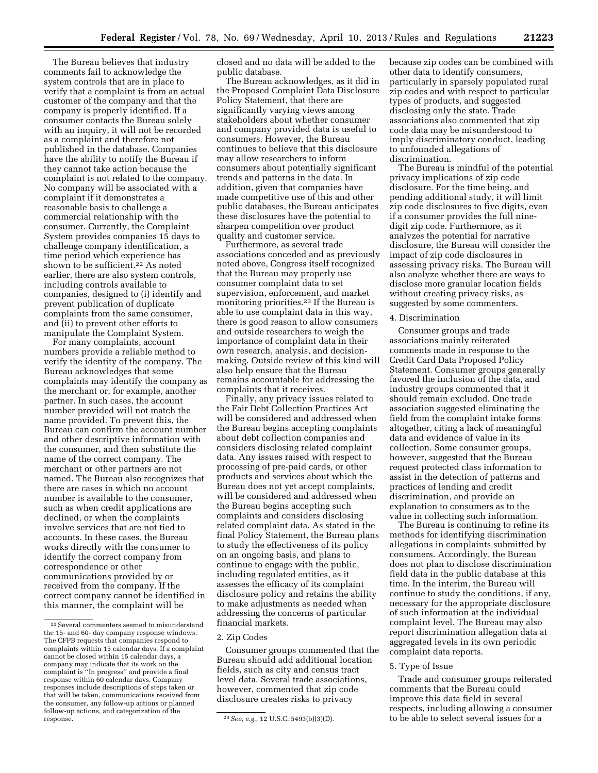The Bureau believes that industry comments fail to acknowledge the system controls that are in place to verify that a complaint is from an actual customer of the company and that the company is properly identified. If a consumer contacts the Bureau solely with an inquiry, it will not be recorded as a complaint and therefore not published in the database. Companies have the ability to notify the Bureau if they cannot take action because the complaint is not related to the company. No company will be associated with a complaint if it demonstrates a reasonable basis to challenge a commercial relationship with the consumer. Currently, the Complaint System provides companies 15 days to challenge company identification, a time period which experience has shown to be sufficient.22 As noted earlier, there are also system controls, including controls available to companies, designed to (i) identify and prevent publication of duplicate complaints from the same consumer, and (ii) to prevent other efforts to manipulate the Complaint System.

For many complaints, account numbers provide a reliable method to verify the identity of the company. The Bureau acknowledges that some complaints may identify the company as the merchant or, for example, another partner. In such cases, the account number provided will not match the name provided. To prevent this, the Bureau can confirm the account number and other descriptive information with the consumer, and then substitute the name of the correct company. The merchant or other partners are not named. The Bureau also recognizes that there are cases in which no account number is available to the consumer, such as when credit applications are declined, or when the complaints involve services that are not tied to accounts. In these cases, the Bureau works directly with the consumer to identify the correct company from correspondence or other communications provided by or received from the company. If the correct company cannot be identified in this manner, the complaint will be

closed and no data will be added to the public database.

The Bureau acknowledges, as it did in the Proposed Complaint Data Disclosure Policy Statement, that there are significantly varying views among stakeholders about whether consumer and company provided data is useful to consumers. However, the Bureau continues to believe that this disclosure may allow researchers to inform consumers about potentially significant trends and patterns in the data. In addition, given that companies have made competitive use of this and other public databases, the Bureau anticipates these disclosures have the potential to sharpen competition over product quality and customer service.

Furthermore, as several trade associations conceded and as previously noted above, Congress itself recognized that the Bureau may properly use consumer complaint data to set supervision, enforcement, and market monitoring priorities.23 If the Bureau is able to use complaint data in this way, there is good reason to allow consumers and outside researchers to weigh the importance of complaint data in their own research, analysis, and decisionmaking. Outside review of this kind will also help ensure that the Bureau remains accountable for addressing the complaints that it receives.

Finally, any privacy issues related to the Fair Debt Collection Practices Act will be considered and addressed when the Bureau begins accepting complaints about debt collection companies and considers disclosing related complaint data. Any issues raised with respect to processing of pre-paid cards, or other products and services about which the Bureau does not yet accept complaints, will be considered and addressed when the Bureau begins accepting such complaints and considers disclosing related complaint data. As stated in the final Policy Statement, the Bureau plans to study the effectiveness of its policy on an ongoing basis, and plans to continue to engage with the public, including regulated entities, as it assesses the efficacy of its complaint disclosure policy and retains the ability to make adjustments as needed when addressing the concerns of particular financial markets.

#### 2. Zip Codes

Consumer groups commented that the Bureau should add additional location fields, such as city and census tract level data. Several trade associations, however, commented that zip code disclosure creates risks to privacy

because zip codes can be combined with other data to identify consumers, particularly in sparsely populated rural zip codes and with respect to particular types of products, and suggested disclosing only the state. Trade associations also commented that zip code data may be misunderstood to imply discriminatory conduct, leading to unfounded allegations of discrimination.

The Bureau is mindful of the potential privacy implications of zip code disclosure. For the time being, and pending additional study, it will limit zip code disclosures to five digits, even if a consumer provides the full ninedigit zip code. Furthermore, as it analyzes the potential for narrative disclosure, the Bureau will consider the impact of zip code disclosures in assessing privacy risks. The Bureau will also analyze whether there are ways to disclose more granular location fields without creating privacy risks, as suggested by some commenters.

### 4. Discrimination

Consumer groups and trade associations mainly reiterated comments made in response to the Credit Card Data Proposed Policy Statement. Consumer groups generally favored the inclusion of the data, and industry groups commented that it should remain excluded. One trade association suggested eliminating the field from the complaint intake forms altogether, citing a lack of meaningful data and evidence of value in its collection. Some consumer groups, however, suggested that the Bureau request protected class information to assist in the detection of patterns and practices of lending and credit discrimination, and provide an explanation to consumers as to the value in collecting such information.

The Bureau is continuing to refine its methods for identifying discrimination allegations in complaints submitted by consumers. Accordingly, the Bureau does not plan to disclose discrimination field data in the public database at this time. In the interim, the Bureau will continue to study the conditions, if any, necessary for the appropriate disclosure of such information at the individual complaint level. The Bureau may also report discrimination allegation data at aggregated levels in its own periodic complaint data reports.

#### 5. Type of Issue

Trade and consumer groups reiterated comments that the Bureau could improve this data field in several respects, including allowing a consumer to be able to select several issues for a

<sup>22</sup>Several commenters seemed to misunderstand the 15- and 60- day company response windows. The CFPB requests that companies respond to complaints within 15 calendar days. If a complaint cannot be closed within 15 calendar days, a company may indicate that its work on the complaint is ''In progress'' and provide a final response within 60 calendar days. Company responses include descriptions of steps taken or that will be taken, communications received from the consumer, any follow-up actions or planned follow-up actions, and categorization of the

<sup>&</sup>lt;sup>23</sup> See, e.g., 12 U.S.C. 5493(b)(3)(D).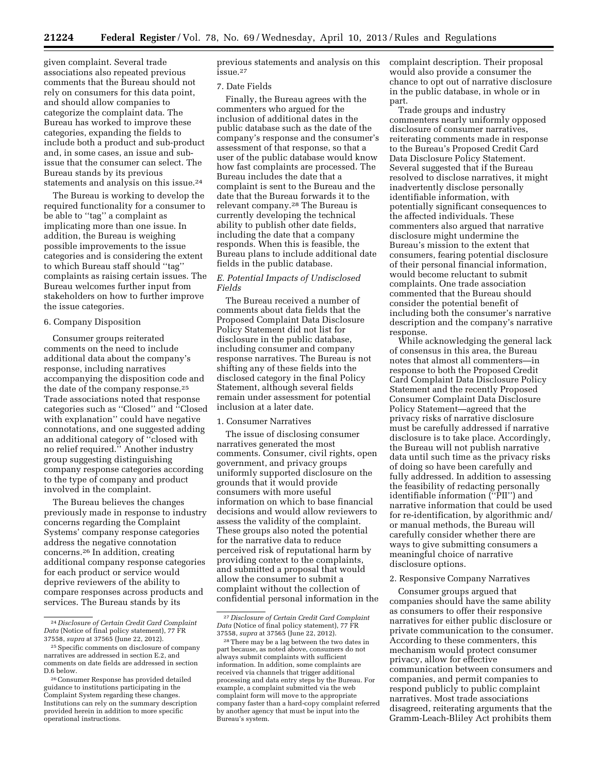given complaint. Several trade associations also repeated previous comments that the Bureau should not rely on consumers for this data point, and should allow companies to categorize the complaint data. The Bureau has worked to improve these categories, expanding the fields to include both a product and sub-product and, in some cases, an issue and subissue that the consumer can select. The Bureau stands by its previous statements and analysis on this issue.24

The Bureau is working to develop the required functionality for a consumer to be able to ''tag'' a complaint as implicating more than one issue. In addition, the Bureau is weighing possible improvements to the issue categories and is considering the extent to which Bureau staff should ''tag'' complaints as raising certain issues. The Bureau welcomes further input from stakeholders on how to further improve the issue categories.

## 6. Company Disposition

Consumer groups reiterated comments on the need to include additional data about the company's response, including narratives accompanying the disposition code and the date of the company response.25 Trade associations noted that response categories such as ''Closed'' and ''Closed with explanation'' could have negative connotations, and one suggested adding an additional category of ''closed with no relief required.'' Another industry group suggesting distinguishing company response categories according to the type of company and product involved in the complaint.

The Bureau believes the changes previously made in response to industry concerns regarding the Complaint Systems' company response categories address the negative connotation concerns.26 In addition, creating additional company response categories for each product or service would deprive reviewers of the ability to compare responses across products and services. The Bureau stands by its

previous statements and analysis on this issue.27

### 7. Date Fields

Finally, the Bureau agrees with the commenters who argued for the inclusion of additional dates in the public database such as the date of the company's response and the consumer's assessment of that response, so that a user of the public database would know how fast complaints are processed. The Bureau includes the date that a complaint is sent to the Bureau and the date that the Bureau forwards it to the relevant company.28 The Bureau is currently developing the technical ability to publish other date fields, including the date that a company responds. When this is feasible, the Bureau plans to include additional date fields in the public database.

# *E. Potential Impacts of Undisclosed Fields*

The Bureau received a number of comments about data fields that the Proposed Complaint Data Disclosure Policy Statement did not list for disclosure in the public database, including consumer and company response narratives. The Bureau is not shifting any of these fields into the disclosed category in the final Policy Statement, although several fields remain under assessment for potential inclusion at a later date.

#### 1. Consumer Narratives

The issue of disclosing consumer narratives generated the most comments. Consumer, civil rights, open government, and privacy groups uniformly supported disclosure on the grounds that it would provide consumers with more useful information on which to base financial decisions and would allow reviewers to assess the validity of the complaint. These groups also noted the potential for the narrative data to reduce perceived risk of reputational harm by providing context to the complaints, and submitted a proposal that would allow the consumer to submit a complaint without the collection of confidential personal information in the complaint description. Their proposal would also provide a consumer the chance to opt out of narrative disclosure in the public database, in whole or in part.

Trade groups and industry commenters nearly uniformly opposed disclosure of consumer narratives, reiterating comments made in response to the Bureau's Proposed Credit Card Data Disclosure Policy Statement. Several suggested that if the Bureau resolved to disclose narratives, it might inadvertently disclose personally identifiable information, with potentially significant consequences to the affected individuals. These commenters also argued that narrative disclosure might undermine the Bureau's mission to the extent that consumers, fearing potential disclosure of their personal financial information, would become reluctant to submit complaints. One trade association commented that the Bureau should consider the potential benefit of including both the consumer's narrative description and the company's narrative response.

While acknowledging the general lack of consensus in this area, the Bureau notes that almost all commenters—in response to both the Proposed Credit Card Complaint Data Disclosure Policy Statement and the recently Proposed Consumer Complaint Data Disclosure Policy Statement—agreed that the privacy risks of narrative disclosure must be carefully addressed if narrative disclosure is to take place. Accordingly, the Bureau will not publish narrative data until such time as the privacy risks of doing so have been carefully and fully addressed. In addition to assessing the feasibility of redacting personally identifiable information (''PII'') and narrative information that could be used for re-identification, by algorithmic and/ or manual methods, the Bureau will carefully consider whether there are ways to give submitting consumers a meaningful choice of narrative disclosure options.

#### 2. Responsive Company Narratives

Consumer groups argued that companies should have the same ability as consumers to offer their responsive narratives for either public disclosure or private communication to the consumer. According to these commenters, this mechanism would protect consumer privacy, allow for effective communication between consumers and companies, and permit companies to respond publicly to public complaint narratives. Most trade associations disagreed, reiterating arguments that the Gramm-Leach-Bliley Act prohibits them

<sup>24</sup> *Disclosure of Certain Credit Card Complaint Data* (Notice of final policy statement), 77 FR 37558, *supra* at 37565 (June 22, 2012).

<sup>25</sup>Specific comments on disclosure of company narratives are addressed in section E.2, and comments on date fields are addressed in section D.6 below.

<sup>26</sup>Consumer Response has provided detailed guidance to institutions participating in the Complaint System regarding these changes. Institutions can rely on the summary description provided herein in addition to more specific operational instructions.

<sup>27</sup> *Disclosure of Certain Credit Card Complaint Data* (Notice of final policy statement), 77 FR<br>37558, *supra* at 37565 (June 22, 2012).

<sup>&</sup>lt;sup>28</sup> There may be a lag between the two dates in part because, as noted above, consumers do not always submit complaints with sufficient information. In addition, some complaints are received via channels that trigger additional processing and data entry steps by the Bureau. For example, a complaint submitted via the web complaint form will move to the appropriate company faster than a hard-copy complaint referred by another agency that must be input into the Bureau's system.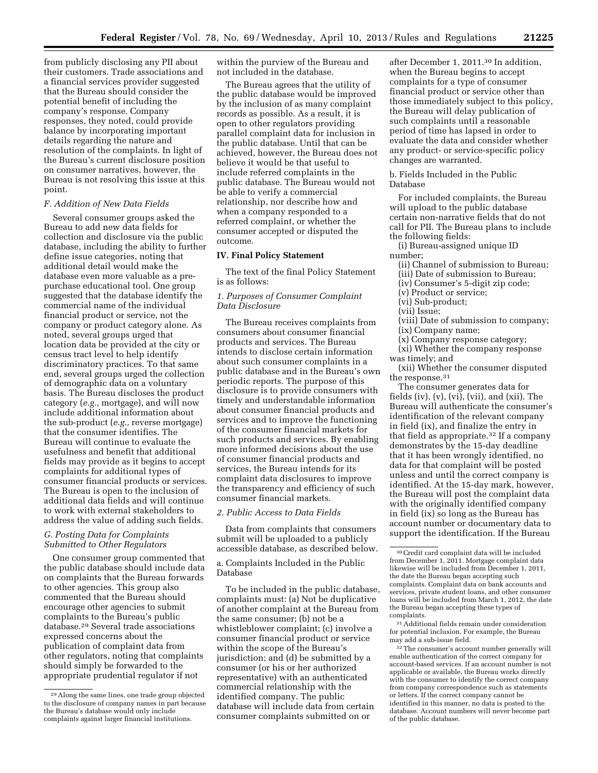from publicly disclosing any PII about their customers. Trade associations and a financial services provider suggested that the Bureau should consider the potential benefit of including the company's response. Company responses, they noted, could provide balance by incorporating important details regarding the nature and resolution of the complaints. In light of the Bureau's current disclosure position on consumer narratives, however, the Bureau is not resolving this issue at this point.

# *F. Addition of New Data Fields*

Several consumer groups asked the Bureau to add new data fields for collection and disclosure via the public database, including the ability to further define issue categories, noting that additional detail would make the database even more valuable as a prepurchase educational tool. One group suggested that the database identify the commercial name of the individual financial product or service, not the company or product category alone. As noted, several groups urged that location data be provided at the city or census tract level to help identify discriminatory practices. To that same end, several groups urged the collection of demographic data on a voluntary basis. The Bureau discloses the product category (*e.g.,* mortgage), and will now include additional information about the sub-product (*e.g.,* reverse mortgage) that the consumer identifies. The Bureau will continue to evaluate the usefulness and benefit that additional fields may provide as it begins to accept complaints for additional types of consumer financial products or services. The Bureau is open to the inclusion of additional data fields and will continue to work with external stakeholders to address the value of adding such fields.

# *G. Posting Data for Complaints Submitted to Other Regulators*

One consumer group commented that the public database should include data on complaints that the Bureau forwards to other agencies. This group also commented that the Bureau should encourage other agencies to submit complaints to the Bureau's public database.29 Several trade associations expressed concerns about the publication of complaint data from other regulators, noting that complaints should simply be forwarded to the appropriate prudential regulator if not

within the purview of the Bureau and not included in the database.

The Bureau agrees that the utility of the public database would be improved by the inclusion of as many complaint records as possible. As a result, it is open to other regulators providing parallel complaint data for inclusion in the public database. Until that can be achieved, however, the Bureau does not believe it would be that useful to include referred complaints in the public database. The Bureau would not be able to verify a commercial relationship, nor describe how and when a company responded to a referred complaint, or whether the consumer accepted or disputed the outcome.

# **IV. Final Policy Statement**

The text of the final Policy Statement is as follows:

# *1. Purposes of Consumer Complaint Data Disclosure*

The Bureau receives complaints from consumers about consumer financial products and services. The Bureau intends to disclose certain information about such consumer complaints in a public database and in the Bureau's own periodic reports. The purpose of this disclosure is to provide consumers with timely and understandable information about consumer financial products and services and to improve the functioning of the consumer financial markets for such products and services. By enabling more informed decisions about the use of consumer financial products and services, the Bureau intends for its complaint data disclosures to improve the transparency and efficiency of such consumer financial markets.

### *2. Public Access to Data Fields*

Data from complaints that consumers submit will be uploaded to a publicly accessible database, as described below.

a. Complaints Included in the Public Database

To be included in the public database, complaints must: (a) Not be duplicative of another complaint at the Bureau from the same consumer; (b) not be a whistleblower complaint; (c) involve a consumer financial product or service within the scope of the Bureau's jurisdiction; and (d) be submitted by a consumer (or his or her authorized representative) with an authenticated commercial relationship with the identified company. The public database will include data from certain consumer complaints submitted on or

after December 1, 2011.30 In addition, when the Bureau begins to accept complaints for a type of consumer financial product or service other than those immediately subject to this policy, the Bureau will delay publication of such complaints until a reasonable period of time has lapsed in order to evaluate the data and consider whether any product- or service-specific policy changes are warranted.

b. Fields Included in the Public Database

For included complaints, the Bureau will upload to the public database certain non-narrative fields that do not call for PII. The Bureau plans to include the following fields:

(i) Bureau-assigned unique ID number;

- (ii) Channel of submission to Bureau;
- (iii) Date of submission to Bureau;
- (iv) Consumer's 5-digit zip code;
- (v) Product or service;
- (vi) Sub-product;
- (vii) Issue;
- (viii) Date of submission to company; (ix) Company name;
- (x) Company response category;
- (xi) Whether the company response

was timely; and

(xii) Whether the consumer disputed the response.31

The consumer generates data for fields (iv), (v), (vi), (vii), and (xii). The Bureau will authenticate the consumer's identification of the relevant company in field (ix), and finalize the entry in that field as appropriate.32 If a company demonstrates by the 15-day deadline that it has been wrongly identified, no data for that complaint will be posted unless and until the correct company is identified. At the 15-day mark, however, the Bureau will post the complaint data with the originally identified company in field (ix) so long as the Bureau has account number or documentary data to support the identification. If the Bureau

31Additional fields remain under consideration for potential inclusion. For example, the Bureau may add a sub-issue field.

32The consumer's account number generally will enable authentication of the correct company for account-based services. If an account number is not applicable or available, the Bureau works directly with the consumer to identify the correct company from company correspondence such as statements or letters. If the correct company cannot be identified in this manner, no data is posted to the database. Account numbers will never become part of the public database.

<sup>29</sup>Along the same lines, one trade group objected to the disclosure of company names in part because the Bureau's database would only include complaints against larger financial institutions.

<sup>30</sup>Credit card complaint data will be included from December 1, 2011. Mortgage complaint data likewise will be included from December 1, 2011, the date the Bureau began accepting such complaints. Complaint data on bank accounts and services, private student loans, and other consumer loans will be included from March 1, 2012, the date the Bureau began accepting these types of complaints.